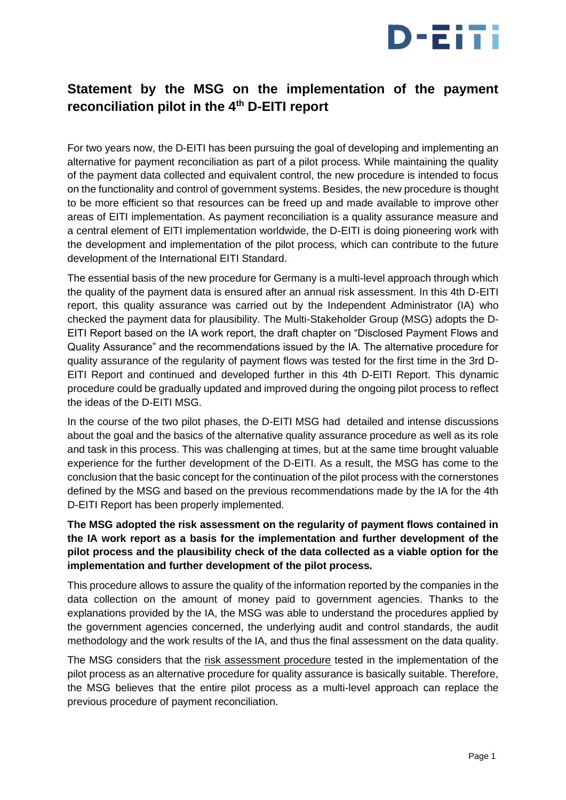

## **Statement by the MSG on the implementation of the payment reconciliation pilot in the 4th D-EITI report**

For two years now, the D-EITI has been pursuing the goal of developing and implementing an alternative for payment reconciliation as part of a pilot process. While maintaining the quality of the payment data collected and equivalent control, the new procedure is intended to focus on the functionality and control of government systems. Besides, the new procedure is thought to be more efficient so that resources can be freed up and made available to improve other areas of EITI implementation. As payment reconciliation is a quality assurance measure and a central element of EITI implementation worldwide, the D-EITI is doing pioneering work with the development and implementation of the pilot process, which can contribute to the future development of the International EITI Standard.

The essential basis of the new procedure for Germany is a multi-level approach through which the quality of the payment data is ensured after an annual risk assessment. In this 4th D-EITI report, this quality assurance was carried out by the Independent Administrator (IA) who checked the payment data for plausibility. The Multi-Stakeholder Group (MSG) adopts the D-EITI Report based on the IA work report, the draft chapter on "Disclosed Payment Flows and Quality Assurance" and the recommendations issued by the IA. The alternative procedure for quality assurance of the regularity of payment flows was tested for the first time in the 3rd D-EITI Report and continued and developed further in this 4th D-EITI Report. This dynamic procedure could be gradually updated and improved during the ongoing pilot process to reflect the ideas of the D-EITI MSG.

In the course of the two pilot phases, the D-EITI MSG had detailed and intense discussions about the goal and the basics of the alternative quality assurance procedure as well as its role and task in this process. This was challenging at times, but at the same time brought valuable experience for the further development of the D-EITI. As a result, the MSG has come to the conclusion that the basic concept for the continuation of the pilot process with the cornerstones defined by the MSG and based on the previous recommendations made by the IA for the 4th D-EITI Report has been properly implemented.

## **The MSG adopted the risk assessment on the regularity of payment flows contained in the IA work report as a basis for the implementation and further development of the pilot process and the plausibility check of the data collected as a viable option for the implementation and further development of the pilot process.**

This procedure allows to assure the quality of the information reported by the companies in the data collection on the amount of money paid to government agencies. Thanks to the explanations provided by the IA, the MSG was able to understand the procedures applied by the government agencies concerned, the underlying audit and control standards, the audit methodology and the work results of the IA, and thus the final assessment on the data quality.

The MSG considers that the risk assessment procedure tested in the implementation of the pilot process as an alternative procedure for quality assurance is basically suitable. Therefore, the MSG believes that the entire pilot process as a multi-level approach can replace the previous procedure of payment reconciliation.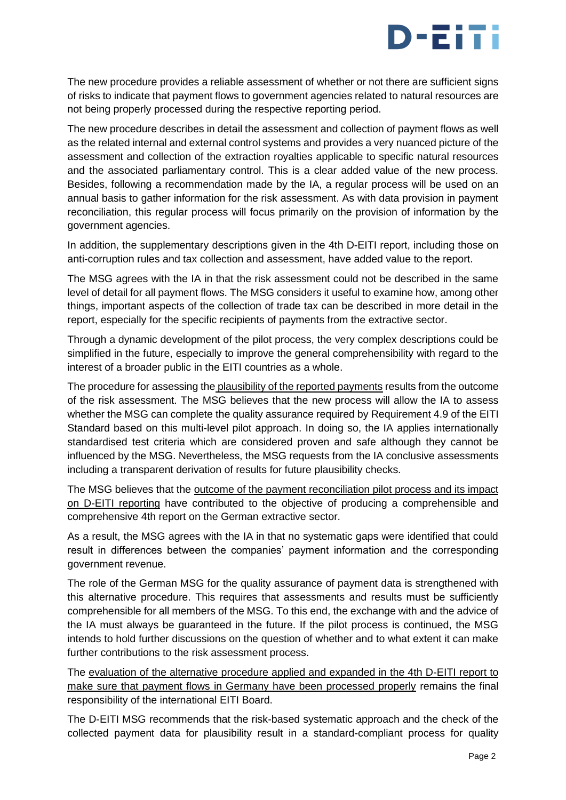

The new procedure provides a reliable assessment of whether or not there are sufficient signs of risks to indicate that payment flows to government agencies related to natural resources are not being properly processed during the respective reporting period.

The new procedure describes in detail the assessment and collection of payment flows as well as the related internal and external control systems and provides a very nuanced picture of the assessment and collection of the extraction royalties applicable to specific natural resources and the associated parliamentary control. This is a clear added value of the new process. Besides, following a recommendation made by the IA, a regular process will be used on an annual basis to gather information for the risk assessment. As with data provision in payment reconciliation, this regular process will focus primarily on the provision of information by the government agencies.

In addition, the supplementary descriptions given in the 4th D-EITI report, including those on anti-corruption rules and tax collection and assessment, have added value to the report.

The MSG agrees with the IA in that the risk assessment could not be described in the same level of detail for all payment flows. The MSG considers it useful to examine how, among other things, important aspects of the collection of trade tax can be described in more detail in the report, especially for the specific recipients of payments from the extractive sector.

Through a dynamic development of the pilot process, the very complex descriptions could be simplified in the future, especially to improve the general comprehensibility with regard to the interest of a broader public in the EITI countries as a whole.

The procedure for assessing the plausibility of the reported payments results from the outcome of the risk assessment. The MSG believes that the new process will allow the IA to assess whether the MSG can complete the quality assurance required by Requirement 4.9 of the EITI Standard based on this multi-level pilot approach. In doing so, the IA applies internationally standardised test criteria which are considered proven and safe although they cannot be influenced by the MSG. Nevertheless, the MSG requests from the IA conclusive assessments including a transparent derivation of results for future plausibility checks.

The MSG believes that the outcome of the payment reconciliation pilot process and its impact on D-EITI reporting have contributed to the objective of producing a comprehensible and comprehensive 4th report on the German extractive sector.

As a result, the MSG agrees with the IA in that no systematic gaps were identified that could result in differences between the companies' payment information and the corresponding government revenue.

The role of the German MSG for the quality assurance of payment data is strengthened with this alternative procedure. This requires that assessments and results must be sufficiently comprehensible for all members of the MSG. To this end, the exchange with and the advice of the IA must always be guaranteed in the future. If the pilot process is continued, the MSG intends to hold further discussions on the question of whether and to what extent it can make further contributions to the risk assessment process.

The evaluation of the alternative procedure applied and expanded in the 4th D-EITI report to make sure that payment flows in Germany have been processed properly remains the final responsibility of the international EITI Board.

The D-EITI MSG recommends that the risk-based systematic approach and the check of the collected payment data for plausibility result in a standard-compliant process for quality